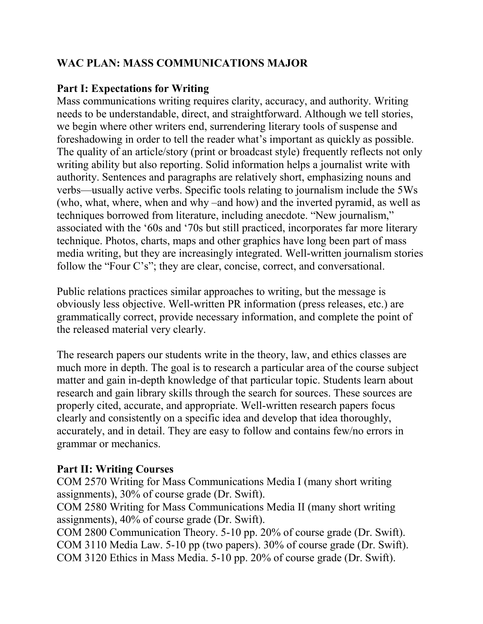# **WAC PLAN: MASS COMMUNICATIONS MAJOR**

# **Part I: Expectations for Writing**

Mass communications writing requires clarity, accuracy, and authority. Writing needs to be understandable, direct, and straightforward. Although we tell stories, we begin where other writers end, surrendering literary tools of suspense and foreshadowing in order to tell the reader what's important as quickly as possible. The quality of an article/story (print or broadcast style) frequently reflects not only writing ability but also reporting. Solid information helps a journalist write with authority. Sentences and paragraphs are relatively short, emphasizing nouns and verbs—usually active verbs. Specific tools relating to journalism include the 5Ws (who, what, where, when and why –and how) and the inverted pyramid, as well as techniques borrowed from literature, including anecdote. "New journalism," associated with the '60s and '70s but still practiced, incorporates far more literary technique. Photos, charts, maps and other graphics have long been part of mass media writing, but they are increasingly integrated. Well-written journalism stories follow the "Four C's"; they are clear, concise, correct, and conversational.

Public relations practices similar approaches to writing, but the message is obviously less objective. Well-written PR information (press releases, etc.) are grammatically correct, provide necessary information, and complete the point of the released material very clearly.

The research papers our students write in the theory, law, and ethics classes are much more in depth. The goal is to research a particular area of the course subject matter and gain in-depth knowledge of that particular topic. Students learn about research and gain library skills through the search for sources. These sources are properly cited, accurate, and appropriate. Well-written research papers focus clearly and consistently on a specific idea and develop that idea thoroughly, accurately, and in detail. They are easy to follow and contains few/no errors in grammar or mechanics.

## **Part II: Writing Courses**

COM 2570 Writing for Mass Communications Media I (many short writing assignments), 30% of course grade (Dr. Swift).

COM 2580 Writing for Mass Communications Media II (many short writing assignments), 40% of course grade (Dr. Swift).

COM 2800 Communication Theory. 5-10 pp. 20% of course grade (Dr. Swift). COM 3110 Media Law. 5-10 pp (two papers). 30% of course grade (Dr. Swift). COM 3120 Ethics in Mass Media. 5-10 pp. 20% of course grade (Dr. Swift).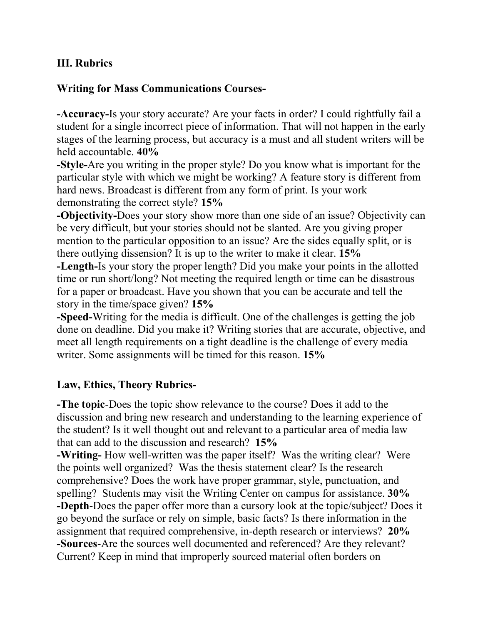## **III. Rubrics**

#### **Writing for Mass Communications Courses-**

**-Accuracy-**Is your story accurate? Are your facts in order? I could rightfully fail a student for a single incorrect piece of information. That will not happen in the early stages of the learning process, but accuracy is a must and all student writers will be held accountable. **40%**

**-Style-**Are you writing in the proper style? Do you know what is important for the particular style with which we might be working? A feature story is different from hard news. Broadcast is different from any form of print. Is your work demonstrating the correct style? **15%**

**-Objectivity-**Does your story show more than one side of an issue? Objectivity can be very difficult, but your stories should not be slanted. Are you giving proper mention to the particular opposition to an issue? Are the sides equally split, or is there outlying dissension? It is up to the writer to make it clear. **15%**

**-Length-**Is your story the proper length? Did you make your points in the allotted time or run short/long? Not meeting the required length or time can be disastrous for a paper or broadcast. Have you shown that you can be accurate and tell the story in the time/space given? **15%**

**-Speed-**Writing for the media is difficult. One of the challenges is getting the job done on deadline. Did you make it? Writing stories that are accurate, objective, and meet all length requirements on a tight deadline is the challenge of every media writer. Some assignments will be timed for this reason. **15%**

## **Law, Ethics, Theory Rubrics-**

**-The topic**-Does the topic show relevance to the course? Does it add to the discussion and bring new research and understanding to the learning experience of the student? Is it well thought out and relevant to a particular area of media law that can add to the discussion and research? **15%**

**-Writing-** How well-written was the paper itself? Was the writing clear? Were the points well organized? Was the thesis statement clear? Is the research comprehensive? Does the work have proper grammar, style, punctuation, and spelling? Students may visit the Writing Center on campus for assistance. **30% -Depth**-Does the paper offer more than a cursory look at the topic/subject? Does it go beyond the surface or rely on simple, basic facts? Is there information in the assignment that required comprehensive, in-depth research or interviews? **20% -Sources**-Are the sources well documented and referenced? Are they relevant? Current? Keep in mind that improperly sourced material often borders on